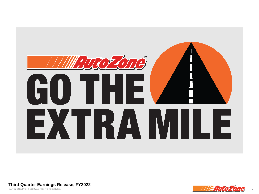

**Third Quarter Earnings Release, FY2022**

AUTOZONE, INC., © 2022 ALL RIGHTS RESERVED.

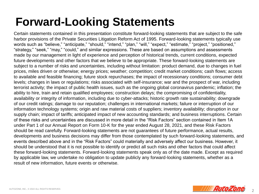### **Forward-Looking Statements**

Certain statements contained in this presentation constitute forward-looking statements that are subject to the safe harbor provisions of the Private Securities Litigation Reform Act of 1995. Forward-looking statements typically use words such as "believe," "anticipate," "should," "intend," "plan," "will," "expect," "estimate," "project," "positioned," "strategy," "seek," "may," "could," and similar expressions. These are based on assumptions and assessments made by our management in light of experience and perception of historical trends, current conditions, expected future developments and other factors that we believe to be appropriate. These forward-looking statements are subject to a number of risks and uncertainties, including without limitation: product demand, due to changes in fuel prices, miles driven or otherwise; energy prices; weather; competition; credit market conditions; cash flows; access to available and feasible financing; future stock repurchases; the impact of recessionary conditions; consumer debt levels; changes in laws or regulations; risks associated with self-insurance; war and the prospect of war, including terrorist activity; the impact of public health issues, such as the ongoing global coronavirus pandemic; inflation; the ability to hire, train and retain qualified employees; construction delays; the compromising of confidentiality, availability or integrity of information, including due to cyber-attacks; historic growth rate sustainability; downgrade of our credit ratings; damage to our reputation; challenges in international markets; failure or interruption of our information technology systems; origin and raw material costs of suppliers; inventory availability; disruption in our supply chain; impact of tariffs; anticipated impact of new accounting standards; and business interruptions. Certain of these risks and uncertainties are discussed in more detail in the "Risk Factors" section contained in Item 1A under Part 1 of our Annual Report on Form 10-K for the year ended August 28, 2021, and these Risk Factors should be read carefully. Forward-looking statements are not guarantees of future performance, actual results, developments and business decisions may differ from those contemplated by such forward-looking statements, and events described above and in the "Risk Factors" could materially and adversely affect our business. However, it should be understood that it is not possible to identify or predict all such risks and other factors that could affect these forward-looking statements. Forward-looking statements speak only as of the date made. Except as required by applicable law, we undertake no obligation to update publicly any forward-looking statements, whether as a result of new information, future events or otherwise.

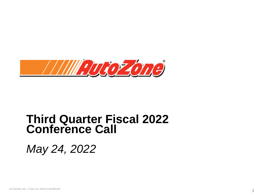

### **Third Quarter Fiscal 2022 Conference Call**

*May 24, 2022*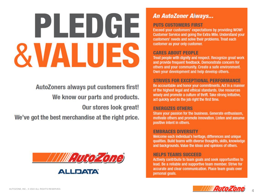# **An AutoZoner Always...**<br>PUTS CUSTOMERS FIRST<br>Exceed your customers' expectations by providing WOW!<br>Customer Service and going the Extra Mile Understand you CARES ABOUT PEOPLE<br>Treat people with dignity and respect. Recognize great work<br>and provide frequent feedback. Demonstrate concern for

AutoZoners always put customers first! We know our parts and products. Our stores look great! We've got the best merchandise at the right price.



**Customer Service and going the Extra Mile. Understand your** customers' needs and solve their problems. Treat each customer as your only customer.

and provide frequent feedback. Demonstrate concern for<br>others and your community. Create a safe environment.<br>Own your development and help develop others.

### STRIVES FOR EXCEPTIONAL PERFORMANCE<br>Be accountable and honor your commitments. Act in a manner

of the highest legal and ethical standards. Use resources wisely and promote a culture of thrift. Take strong initiative, act quickly and do the job right the first time.

### **ENERGIZES OTHERS**

Share your passion for the business. Generate enthusiasm, motivate others and promote innovation. Listen and assume positive intent in others.

### **EMBRACES DIVERSITY**

Welcome each individual's heritage, differences and unique qualities. Build teams with diverse thoughts, skills, knowledge and backgrounds. Value the ideas and opinions of others.

### **HELPS TEAMS SUCCEED**

Actively contribute to team goals and seek opportunities to lead. Be a reliable and supportive team member. Strive for accurate and clear communication. Place team goals over personal goals.

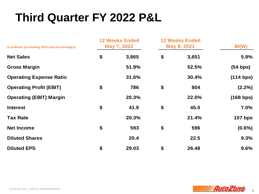# **Third Quarter FY 2022 P&L**

| in millions (excluding EPS and percentages) | <b>12 Weeks Ended</b><br>May 7, 2022 |       | <b>12 Weeks Ended</b><br>May 8, 2021 |       | B/(W)     |
|---------------------------------------------|--------------------------------------|-------|--------------------------------------|-------|-----------|
| <b>Net Sales</b>                            | \$                                   | 3,865 | \$                                   | 3,651 | 5.9%      |
| <b>Gross Margin</b>                         |                                      | 51.9% |                                      | 52.5% | (54 bps)  |
| <b>Operating Expense Ratio</b>              |                                      | 31.6% |                                      | 30.4% | (114 bps) |
| <b>Operating Profit (EBIT)</b>              | \$                                   | 786   | \$                                   | 804   | $(2.2\%)$ |
| <b>Operating (EBIT) Margin</b>              |                                      | 20.3% |                                      | 22.0% | (168 bps) |
| <b>Interest</b>                             | \$                                   | 41.9  | \$                                   | 45.0  | 7.0%      |
| <b>Tax Rate</b>                             |                                      | 20.3% |                                      | 21.4% | $107$ bps |
| <b>Net Income</b>                           | \$                                   | 593   | \$                                   | 596   | $(0.6\%)$ |
| <b>Diluted Shares</b>                       |                                      | 20.4  |                                      | 22.5  | 9.3%      |
| <b>Diluted EPS</b>                          | \$                                   | 29.03 | \$                                   | 26.48 | 9.6%      |

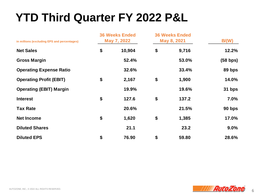### **YTD Third Quarter FY 2022 P&L**

| in millions (excluding EPS and percentages) | <b>36 Weeks Ended</b><br>May 7, 2022 |        | <b>36 Weeks Ended</b><br>May 8, 2021 |       | B/(W)      |
|---------------------------------------------|--------------------------------------|--------|--------------------------------------|-------|------------|
| <b>Net Sales</b>                            | \$                                   | 10,904 | \$                                   | 9,716 | 12.2%      |
| <b>Gross Margin</b>                         |                                      | 52.4%  |                                      | 53.0% | $(58$ bps) |
| <b>Operating Expense Ratio</b>              |                                      | 32.6%  |                                      | 33.4% | 89 bps     |
| <b>Operating Profit (EBIT)</b>              | \$                                   | 2,167  | \$                                   | 1,900 | 14.0%      |
| <b>Operating (EBIT) Margin</b>              |                                      | 19.9%  |                                      | 19.6% | 31 bps     |
| <b>Interest</b>                             | \$                                   | 127.6  | \$                                   | 137.2 | 7.0%       |
| <b>Tax Rate</b>                             |                                      | 20.6%  |                                      | 21.5% | 90 bps     |
| <b>Net Income</b>                           | \$                                   | 1,620  | \$                                   | 1,385 | 17.0%      |
| <b>Diluted Shares</b>                       |                                      | 21.1   |                                      | 23.2  | 9.0%       |
| <b>Diluted EPS</b>                          | \$                                   | 76.90  | \$                                   | 59.80 | 28.6%      |

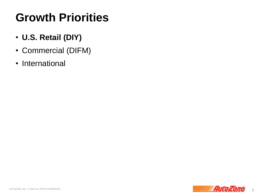### **Growth Priorities**

- **U.S. Retail (DIY)**
- Commercial (DIFM)
- International

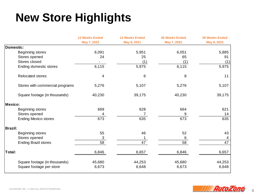## **New Store Highlights**

|                                 | <b>12 Weeks Ended</b>     | <b>12 Weeks Ended</b> | <b>36 Weeks Ended</b> | <b>36 Weeks Ended</b> |
|---------------------------------|---------------------------|-----------------------|-----------------------|-----------------------|
|                                 | May 7, 2022               | May 8, 2021           | May 7, 2022           | May 8, 2021           |
| Domestic:                       |                           |                       |                       |                       |
| Beginning stores                | 6,091                     | 5,951                 | 6,051                 | 5,885                 |
| Stores opened                   | 24                        | 25                    | 65                    | 91                    |
| Stores closed                   |                           | (1)                   | (1)                   | (1)                   |
| Ending domestic stores          | 6,115                     | 5,975                 | 6,115                 | 5,975                 |
| Relocated stores                | 4                         | 6                     | 8                     | 11                    |
| Stores with commercial programs | 5,276                     | 5,107                 | 5,276                 | 5,107                 |
| Square footage (in thousands)   | 40,230                    | 39,175                | 40,230                | 39,175                |
| Mexico:                         |                           |                       |                       |                       |
| Beginning stores                | 669                       | 628                   | 664                   | 621                   |
| Stores opened                   | 4                         |                       | 9                     | 14                    |
| <b>Ending Mexico stores</b>     | 673                       | 635                   | 673                   | 635                   |
| <b>Brazil:</b>                  |                           |                       |                       |                       |
| Beginning stores                | 55                        | 46                    | 52                    | 43                    |
| Stores opened                   | $\ensuremath{\mathsf{3}}$ |                       | 6                     | 4                     |
| <b>Ending Brazil stores</b>     | 58                        | 47                    | 58                    | 47                    |
| Total:                          | 6,846                     | 6,657                 | 6,846                 | 6,657                 |
| Square footage (in thousands)   | 45,680                    | 44,253                | 45,680                | 44,253                |
| Square footage per store        | 6,673                     | 6,648                 | 6,673                 | 6,648                 |

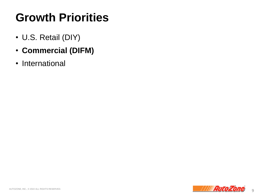### **Growth Priorities**

- U.S. Retail (DIY)
- **Commercial (DIFM)**
- International

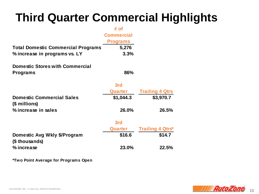### **Third Quarter Commercial Highlights**

|                                                   | # of              |                         |
|---------------------------------------------------|-------------------|-------------------------|
|                                                   | <b>Commercial</b> |                         |
|                                                   | <b>Programs</b>   |                         |
| <b>Total Domestic Commercial Programs</b>         | 5,276             |                         |
| % increase in programs vs. LY                     | 3.3%              |                         |
| <b>Domestic Stores with Commercial</b>            |                   |                         |
| <b>Programs</b>                                   | 86%               |                         |
|                                                   | 3rd               |                         |
|                                                   | Quarter           | <b>Trailing 4 Qtrs</b>  |
| <b>Domestic Commercial Sales</b><br>(\$ millions) | \$1,044.3         | \$3,970.7               |
| % increase in sales                               | 26.0%             | 26.5%                   |
|                                                   | 3rd               |                         |
|                                                   | Quarter           | <b>Trailing 4 Qtrs*</b> |
| Domestic Avg Wkly \$/Program<br>(\$ thousands)    | \$16.6            | \$14.7                  |
| % increase                                        | 23.0%             | 22.5%                   |

**\*Two Point Average for Programs Open**

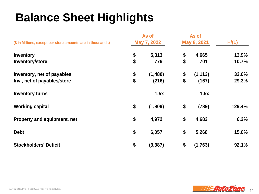### **Balance Sheet Highlights**

| (\$ in Millions, except per store amounts are in thousands) | As of<br>May 7, 2022 |          | As of<br>May 8, 2021 |          | H/(L)  |
|-------------------------------------------------------------|----------------------|----------|----------------------|----------|--------|
| <b>Inventory</b>                                            | \$                   | 5,313    | \$                   | 4,665    | 13.9%  |
| Inventory/store                                             | \$                   | 776      | \$                   | 701      | 10.7%  |
| Inventory, net of payables                                  | \$                   | (1,480)  | \$                   | (1, 113) | 33.0%  |
| Inv., net of payables/store                                 | \$                   | (216)    | \$                   | (167)    | 29.3%  |
| <b>Inventory turns</b>                                      |                      | 1.5x     |                      | 1.5x     |        |
| <b>Working capital</b>                                      | \$                   | (1,809)  | \$                   | (789)    | 129.4% |
| Property and equipment, net                                 | \$                   | 4,972    | \$                   | 4,683    | 6.2%   |
| <b>Debt</b>                                                 | \$                   | 6,057    | \$                   | 5,268    | 15.0%  |
| <b>Stockholders' Deficit</b>                                | \$                   | (3, 387) | \$                   | (1,763)  | 92.1%  |

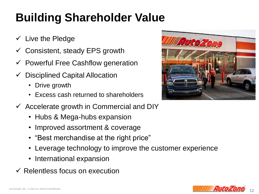# **Building Shareholder Value**

- $\checkmark$  Live the Pledge
- $\checkmark$  Consistent, steady EPS growth
- $\checkmark$  Powerful Free Cashflow generation
- $\checkmark$  Disciplined Capital Allocation
	- Drive growth
	- Excess cash returned to shareholders
- $\checkmark$  Accelerate growth in Commercial and DIY
	- Hubs & Mega-hubs expansion
	- Improved assortment & coverage
	- "Best merchandise at the right price"
	- Leverage technology to improve the customer experience
	- International expansion
- $\checkmark$  Relentless focus on execution